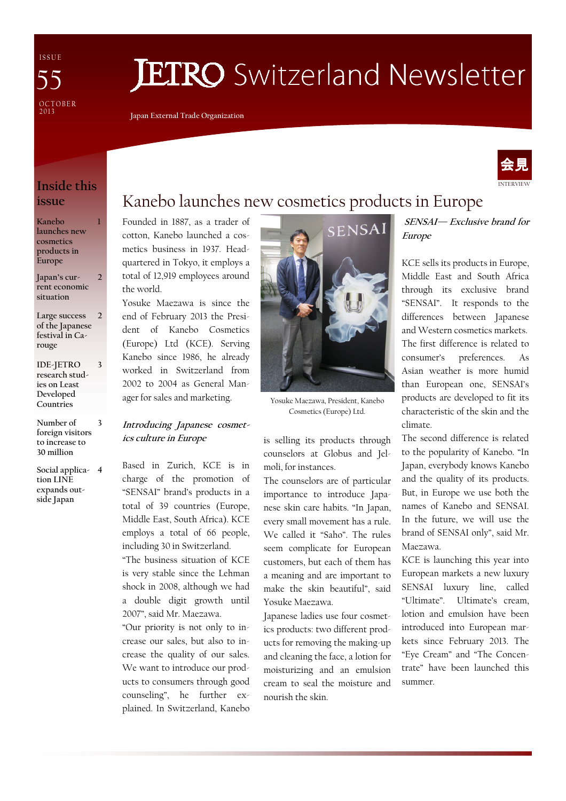I S S U E OCTOBER<br>2013 55

# **JETRO** Switzerland Newsletter

Japan External Trade Organization



### Inside this issue

1

2

3

3

Kanebo launches new cosmetics products in Europe

Japan's current economic situation

- Large success of the Japanese festival in Carouge  $\overline{2}$
- IDE-JETRO research studies on Least Developed Countries
- Number of foreign visitors to increase to 30 million

Social applica-4 tion LINE expands outside Japan

# Kanebo launches new cosmetics products in Europe

Founded in 1887, as a trader of cotton, Kanebo launched a cosmetics business in 1937. Headquartered in Tokyo, it employs a total of 12,919 employees around the world.

Yosuke Maezawa is since the end of February 2013 the President of Kanebo Cosmetics (Europe) Ltd (KCE). Serving Kanebo since 1986, he already worked in Switzerland from 2002 to 2004 as General Manager for sales and marketing.

### Introducing Japanese cosmetics culture in Europe

Based in Zurich, KCE is in charge of the promotion of "SENSAI" brand's products in a total of 39 countries (Europe, Middle East, South Africa). KCE employs a total of 66 people, including 30 in Switzerland.

"The business situation of KCE is very stable since the Lehman shock in 2008, although we had a double digit growth until 2007", said Mr. Maezawa.

"Our priority is not only to increase our sales, but also to increase the quality of our sales. We want to introduce our products to consumers through good counseling", he further explained. In Switzerland, Kanebo



Yosuke Maezawa, President, Kanebo Cosmetics (Europe) Ltd.

is selling its products through counselors at Globus and Jelmoli, for instances.

The counselors are of particular importance to introduce Japanese skin care habits. "In Japan, every small movement has a rule. We called it "Saho". The rules seem complicate for European customers, but each of them has a meaning and are important to make the skin beautiful", said Yosuke Maezawa.

Japanese ladies use four cosmetics products: two different products for removing the making-up and cleaning the face, a lotion for moisturizing and an emulsion cream to seal the moisture and nourish the skin.

SENSAI— Exclusive brand for Europe

KCE sells its products in Europe, Middle East and South Africa through its exclusive brand "SENSAI". It responds to the differences between Japanese and Western cosmetics markets. The first difference is related to consumer's preferences. As Asian weather is more humid than European one, SENSAI's products are developed to fit its characteristic of the skin and the climate.

The second difference is related to the popularity of Kanebo. "In Japan, everybody knows Kanebo and the quality of its products. But, in Europe we use both the names of Kanebo and SENSAI. In the future, we will use the brand of SENSAI only", said Mr. Maezawa.

KCE is launching this year into European markets a new luxury SENSAI luxury line, called "Ultimate". Ultimate's cream, lotion and emulsion have been introduced into European markets since February 2013. The "Eye Cream" and "The Concentrate" have been launched this summer.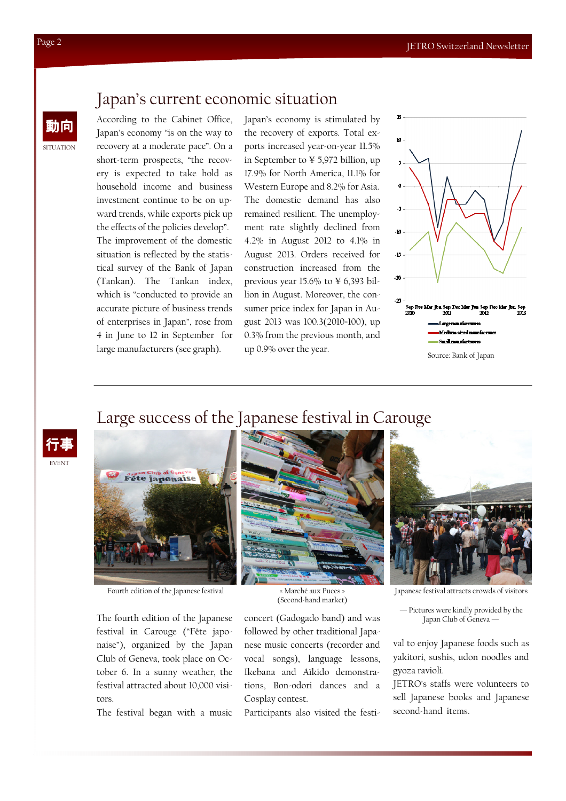### Japan's current economic situation

動向 According to the Cabinet Office, Japan's economy "is on the way to recovery at a moderate pace". On a short-term prospects, "the recovery is expected to take hold as household income and business investment continue to be on upward trends, while exports pick up the effects of the policies develop". The improvement of the domestic situation is reflected by the statistical survey of the Bank of Japan (Tankan). The Tankan index, which is "conducted to provide an accurate picture of business trends of enterprises in Japan", rose from 4 in June to 12 in September for large manufacturers (see graph).

Japan's economy is stimulated by the recovery of exports. Total exports increased year-on-year 11.5% in September to ¥ 5,972 billion, up 17.9% for North America, 11.1% for Western Europe and 8.2% for Asia. The domestic demand has also remained resilient. The unemployment rate slightly declined from 4.2% in August 2012 to 4.1% in August 2013. Orders received for construction increased from the previous year 15.6% to ¥ 6,393 billion in August. Moreover, the consumer price index for Japan in August 2013 was 100.3(2010=100), up 0.3% from the previous month, and up 0.9% over the year.



## Large success of the Japanese festival in Carouge





Fourth edition of the Japanese festival « Marché aux Puces »

The fourth edition of the Japanese festival in Carouge ("Fête japonaise"), organized by the Japan Club of Geneva, took place on October 6. In a sunny weather, the festival attracted about 10,000 visitors.

The festival began with a music



(Second-hand market)

concert (Gadogado band) and was followed by other traditional Japanese music concerts (recorder and vocal songs), language lessons, Ikebana and Aïkido demonstrations, Bon-odori dances and a Cosplay contest.

Participants also visited the festi-



Japanese festival attracts crowds of visitors

— Pictures were kindly provided by the Japan Club of Geneva

val to enjoy Japanese foods such as yakitori, sushis, udon noodles and gyoza ravioli.

JETRO's staffs were volunteers to sell Japanese books and Japanese second-hand items.

SITUATION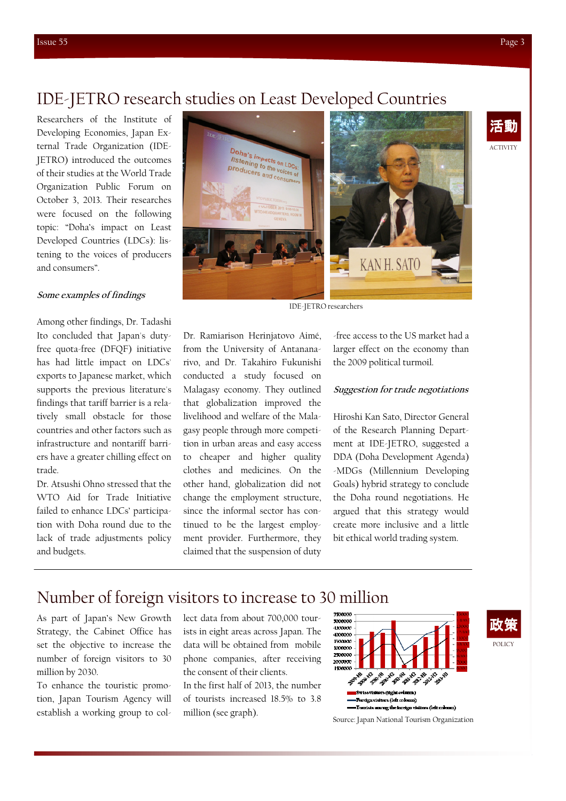ACTIVITY

活動

### IDE-JETRO research studies on Least Developed Countries

Researchers of the Institute of Developing Economies, Japan External Trade Organization (IDE-JETRO) introduced the outcomes of their studies at the World Trade Organization Public Forum on October 3, 2013. Their researches were focused on the following topic: "Doha's impact on Least Developed Countries (LDCs): listening to the voices of producers and consumers".

#### Some examples of findings

Among other findings, Dr. Tadashi Ito concluded that Japan's dutyfree quota-free (DFQF) initiative has had little impact on LDCs' exports to Japanese market, which supports the previous literature's findings that tariff barrier is a relatively small obstacle for those countries and other factors such as infrastructure and nontariff barriers have a greater chilling effect on trade.

Dr. Atsushi Ohno stressed that the WTO Aid for Trade Initiative failed to enhance LDCs' participation with Doha round due to the lack of trade adjustments policy and budgets.



IDE-JETRO researchers

Dr. Ramiarison Herinjatovo Aimé, from the University of Antananarivo, and Dr. Takahiro Fukunishi conducted a study focused on Malagasy economy. They outlined that globalization improved the livelihood and welfare of the Malagasy people through more competition in urban areas and easy access to cheaper and higher quality clothes and medicines. On the other hand, globalization did not change the employment structure, since the informal sector has continued to be the largest employment provider. Furthermore, they claimed that the suspension of duty

-free access to the US market had a larger effect on the economy than the 2009 political turmoil.

### Suggestion for trade negotiations

Hiroshi Kan Sato, Director General of the Research Planning Department at IDE-JETRO, suggested a DDA (Doha Development Agenda) -MDGs (Millennium Developing Goals) hybrid strategy to conclude the Doha round negotiations. He argued that this strategy would create more inclusive and a little bit ethical world trading system.

### Number of foreign visitors to increase to 30 million

As part of Japan's New Growth Strategy, the Cabinet Office has set the objective to increase the number of foreign visitors to 30 million by 2030.

To enhance the touristic promotion, Japan Tourism Agency will establish a working group to collect data from about 700,000 tourists in eight areas across Japan. The data will be obtained from mobile phone companies, after receiving the consent of their clients.

In the first half of 2013, the number of tourists increased 18.5% to 3.8 million (see graph).



Source: Japan National Tourism Organization